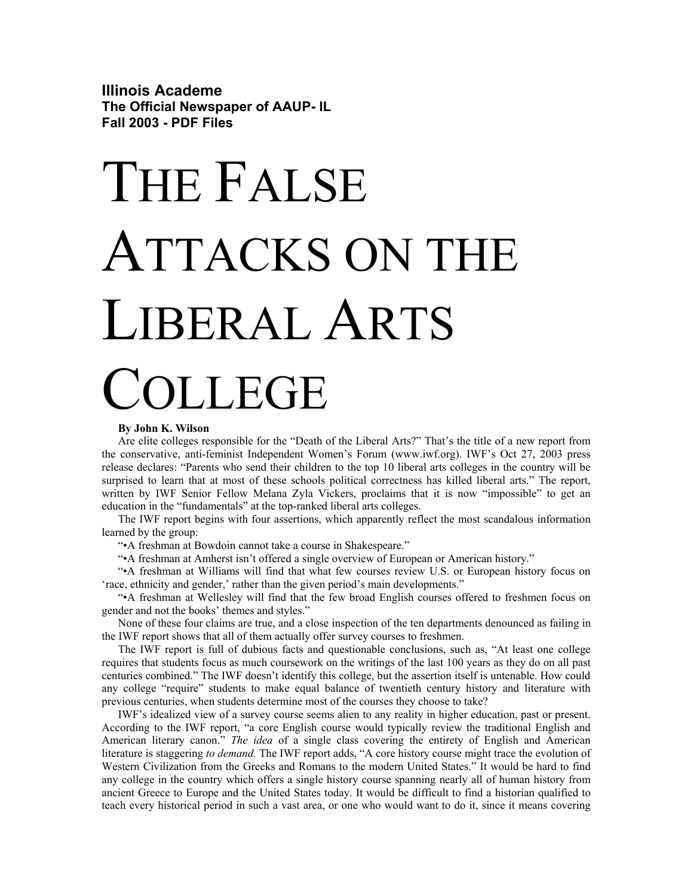**Illinois Academe The Official Newspaper of AAUP- IL Fall 2003 - PDF Files** 

# THE FALSE ATTACKS ON THE LIBERAL ARTS **JLLEGE**

### **By John K. Wilson**

Are elite colleges responsible for the "Death of the Liberal Arts?" That's the title of a new report from the conservative, anti-feminist Independent Women's Forum (www.iwf.org). IWF's Oct 27, 2003 press release declares: "Parents who send their children to the top 10 liberal arts colleges in the country will be surprised to learn that at most of these schools political correctness has killed liberal arts." The report, written by IWF Senior Fellow Melana Zyla Vickers, proclaims that it is now "impossible" to get an education in the "fundamentals" at the top-ranked liberal arts colleges.

The IWF report begins with four assertions, which apparently reflect the most scandalous information learned by the group:

"•A freshman at Bowdoin cannot take a course in Shakespeare."

"•A freshman at Amherst isn't offered a single overview of European or American history."

"•A freshman at Williams will find that what few courses review U.S. or European history focus on 'race, ethnicity and gender,' rather than the given period's main developments."

"•A freshman at Wellesley will find that the few broad English courses offered to freshmen focus on gender and not the books' themes and styles."

None of these four claims are true, and a close inspection of the ten departments denounced as failing in the IWF report shows that all of them actually offer survey courses to freshmen.

The IWF report is full of dubious facts and questionable conclusions, such as, "At least one college requires that students focus as much coursework on the writings of the last 100 years as they do on all past centuries combined." The IWF doesn't identify this college, but the assertion itself is untenable. How could any college "require" students to make equal balance of twentieth century history and literature with previous centuries, when students determine most of the courses they choose to take?

IWF's idealized view of a survey course seems alien to any reality in higher education, past or present. According to the IWF report, "a core English course would typically review the traditional English and American literary canon." *The idea* of a single class covering the entirety of English and American literature is staggering *to demand.* The IWF report adds, "A core history course might trace the evolution of Western Civilization from the Greeks and Romans to the modern United States." It would be hard to find any college in the country which offers a single history course spanning nearly all of human history from ancient Greece to Europe and the United States today. It would be difficult to find a historian qualified to teach every historical period in such a vast area, or one who would want to do it, since it means covering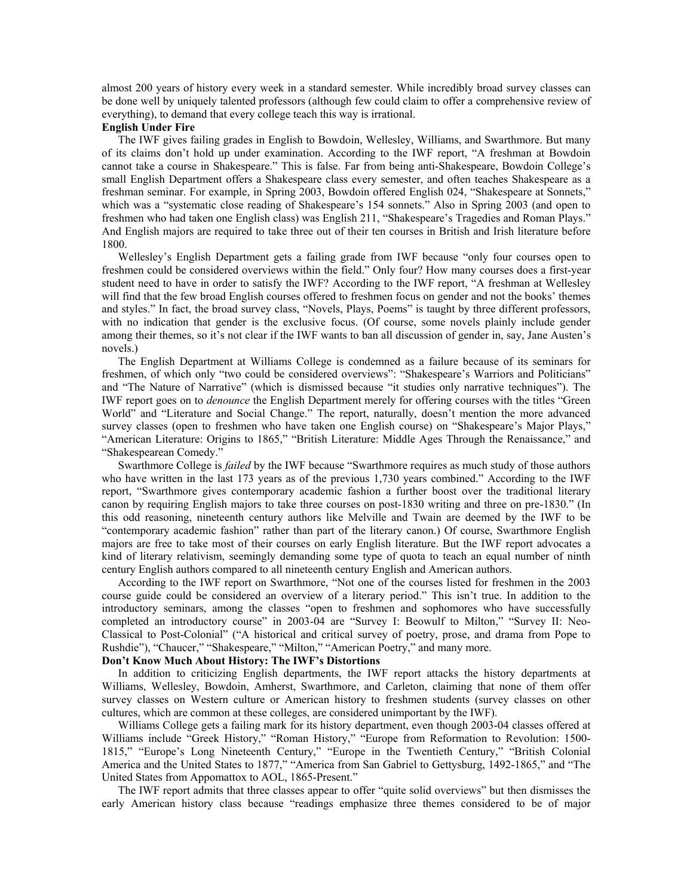almost 200 years of history every week in a standard semester. While incredibly broad survey classes can be done well by uniquely talented professors (although few could claim to offer a comprehensive review of everything), to demand that every college teach this way is irrational.

## **English Under Fire**

The IWF gives failing grades in English to Bowdoin, Wellesley, Williams, and Swarthmore. But many of its claims don't hold up under examination. According to the IWF report, "A freshman at Bowdoin cannot take a course in Shakespeare." This is false. Far from being anti-Shakespeare, Bowdoin College's small English Department offers a Shakespeare class every semester, and often teaches Shakespeare as a freshman seminar. For example, in Spring 2003, Bowdoin offered English 024, "Shakespeare at Sonnets," which was a "systematic close reading of Shakespeare's 154 sonnets." Also in Spring 2003 (and open to freshmen who had taken one English class) was English 211, "Shakespeare's Tragedies and Roman Plays." And English majors are required to take three out of their ten courses in British and Irish literature before 1800.

Wellesley's English Department gets a failing grade from IWF because "only four courses open to freshmen could be considered overviews within the field." Only four? How many courses does a first-year student need to have in order to satisfy the IWF? According to the IWF report, "A freshman at Wellesley will find that the few broad English courses offered to freshmen focus on gender and not the books' themes and styles." In fact, the broad survey class, "Novels, Plays, Poems" is taught by three different professors, with no indication that gender is the exclusive focus. (Of course, some novels plainly include gender among their themes, so it's not clear if the IWF wants to ban all discussion of gender in, say, Jane Austen's novels.)

The English Department at Williams College is condemned as a failure because of its seminars for freshmen, of which only "two could be considered overviews": "Shakespeare's Warriors and Politicians" and "The Nature of Narrative" (which is dismissed because "it studies only narrative techniques"). The IWF report goes on to *denounce* the English Department merely for offering courses with the titles "Green World" and "Literature and Social Change." The report, naturally, doesn't mention the more advanced survey classes (open to freshmen who have taken one English course) on "Shakespeare's Major Plays," "American Literature: Origins to 1865," "British Literature: Middle Ages Through the Renaissance," and "Shakespearean Comedy."

Swarthmore College is *failed* by the IWF because "Swarthmore requires as much study of those authors who have written in the last 173 years as of the previous 1,730 years combined." According to the IWF report, "Swarthmore gives contemporary academic fashion a further boost over the traditional literary canon by requiring English majors to take three courses on post-1830 writing and three on pre-1830." (In this odd reasoning, nineteenth century authors like Melville and Twain are deemed by the IWF to be "contemporary academic fashion" rather than part of the literary canon.) Of course, Swarthmore English majors are free to take most of their courses on early English literature. But the IWF report advocates a kind of literary relativism, seemingly demanding some type of quota to teach an equal number of ninth century English authors compared to all nineteenth century English and American authors.

According to the IWF report on Swarthmore, "Not one of the courses listed for freshmen in the 2003 course guide could be considered an overview of a literary period." This isn't true. In addition to the introductory seminars, among the classes "open to freshmen and sophomores who have successfully completed an introductory course" in 2003-04 are "Survey I: Beowulf to Milton," "Survey II: Neo-Classical to Post-Colonial" ("A historical and critical survey of poetry, prose, and drama from Pope to Rushdie"), "Chaucer," "Shakespeare," "Milton," "American Poetry," and many more.

# **Don't Know Much About History: The IWF's Distortions**

In addition to criticizing English departments, the IWF report attacks the history departments at Williams, Wellesley, Bowdoin, Amherst, Swarthmore, and Carleton, claiming that none of them offer survey classes on Western culture or American history to freshmen students (survey classes on other cultures, which are common at these colleges, are considered unimportant by the IWF).

Williams College gets a failing mark for its history department, even though 2003-04 classes offered at Williams include "Greek History," "Roman History," "Europe from Reformation to Revolution: 1500- 1815," "Europe's Long Nineteenth Century," "Europe in the Twentieth Century," "British Colonial America and the United States to 1877," "America from San Gabriel to Gettysburg, 1492-1865," and "The United States from Appomattox to AOL, 1865-Present."

The IWF report admits that three classes appear to offer "quite solid overviews" but then dismisses the early American history class because "readings emphasize three themes considered to be of major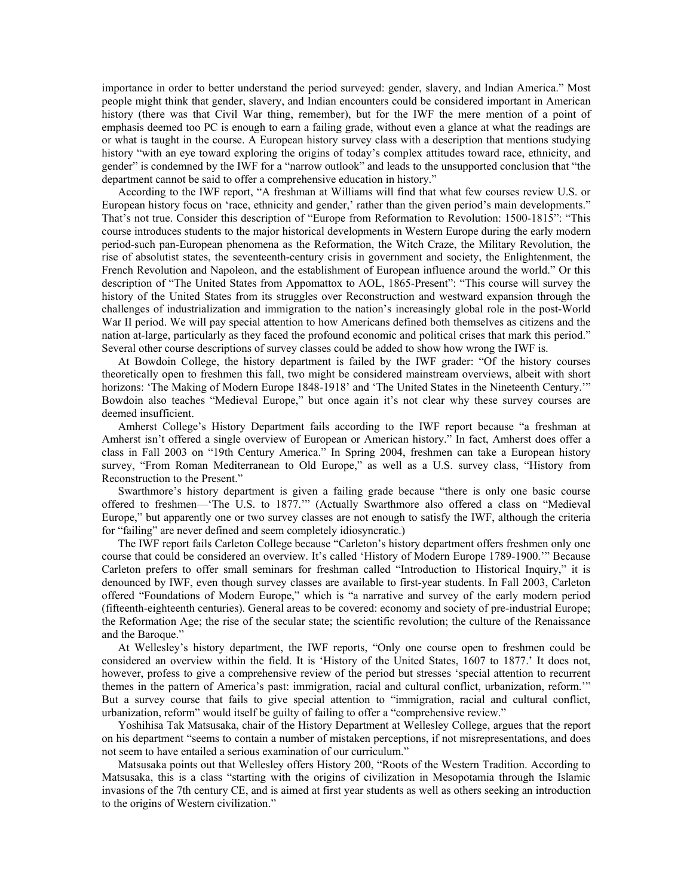importance in order to better understand the period surveyed: gender, slavery, and Indian America." Most people might think that gender, slavery, and Indian encounters could be considered important in American history (there was that Civil War thing, remember), but for the IWF the mere mention of a point of emphasis deemed too PC is enough to earn a failing grade, without even a glance at what the readings are or what is taught in the course. A European history survey class with a description that mentions studying history "with an eye toward exploring the origins of today's complex attitudes toward race, ethnicity, and gender" is condemned by the IWF for a "narrow outlook" and leads to the unsupported conclusion that "the department cannot be said to offer a comprehensive education in history."

According to the IWF report, "A freshman at Williams will find that what few courses review U.S. or European history focus on 'race, ethnicity and gender,' rather than the given period's main developments." That's not true. Consider this description of "Europe from Reformation to Revolution: 1500-1815": "This course introduces students to the major historical developments in Western Europe during the early modern period-such pan-European phenomena as the Reformation, the Witch Craze, the Military Revolution, the rise of absolutist states, the seventeenth-century crisis in government and society, the Enlightenment, the French Revolution and Napoleon, and the establishment of European influence around the world." Or this description of "The United States from Appomattox to AOL, 1865-Present": "This course will survey the history of the United States from its struggles over Reconstruction and westward expansion through the challenges of industrialization and immigration to the nation's increasingly global role in the post-World War II period. We will pay special attention to how Americans defined both themselves as citizens and the nation at-large, particularly as they faced the profound economic and political crises that mark this period." Several other course descriptions of survey classes could be added to show how wrong the IWF is.

At Bowdoin College, the history department is failed by the IWF grader: "Of the history courses theoretically open to freshmen this fall, two might be considered mainstream overviews, albeit with short horizons: 'The Making of Modern Europe 1848-1918' and 'The United States in the Nineteenth Century.'" Bowdoin also teaches "Medieval Europe," but once again it's not clear why these survey courses are deemed insufficient.

Amherst College's History Department fails according to the IWF report because "a freshman at Amherst isn't offered a single overview of European or American history." In fact, Amherst does offer a class in Fall 2003 on "19th Century America." In Spring 2004, freshmen can take a European history survey, "From Roman Mediterranean to Old Europe," as well as a U.S. survey class, "History from Reconstruction to the Present."

Swarthmore's history department is given a failing grade because "there is only one basic course offered to freshmen—'The U.S. to 1877.'" (Actually Swarthmore also offered a class on "Medieval Europe," but apparently one or two survey classes are not enough to satisfy the IWF, although the criteria for "failing" are never defined and seem completely idiosyncratic.)

The IWF report fails Carleton College because "Carleton's history department offers freshmen only one course that could be considered an overview. It's called 'History of Modern Europe 1789-1900.'" Because Carleton prefers to offer small seminars for freshman called "Introduction to Historical Inquiry," it is denounced by IWF, even though survey classes are available to first-year students. In Fall 2003, Carleton offered "Foundations of Modern Europe," which is "a narrative and survey of the early modern period (fifteenth-eighteenth centuries). General areas to be covered: economy and society of pre-industrial Europe; the Reformation Age; the rise of the secular state; the scientific revolution; the culture of the Renaissance and the Baroque."

At Wellesley's history department, the IWF reports, "Only one course open to freshmen could be considered an overview within the field. It is 'History of the United States, 1607 to 1877.' It does not, however, profess to give a comprehensive review of the period but stresses 'special attention to recurrent themes in the pattern of America's past: immigration, racial and cultural conflict, urbanization, reform.'" But a survey course that fails to give special attention to "immigration, racial and cultural conflict, urbanization, reform" would itself be guilty of failing to offer a "comprehensive review."

Yoshihisa Tak Matsusaka, chair of the History Department at Wellesley College, argues that the report on his department "seems to contain a number of mistaken perceptions, if not misrepresentations, and does not seem to have entailed a serious examination of our curriculum."

Matsusaka points out that Wellesley offers History 200, "Roots of the Western Tradition. According to Matsusaka, this is a class "starting with the origins of civilization in Mesopotamia through the Islamic invasions of the 7th century CE, and is aimed at first year students as well as others seeking an introduction to the origins of Western civilization."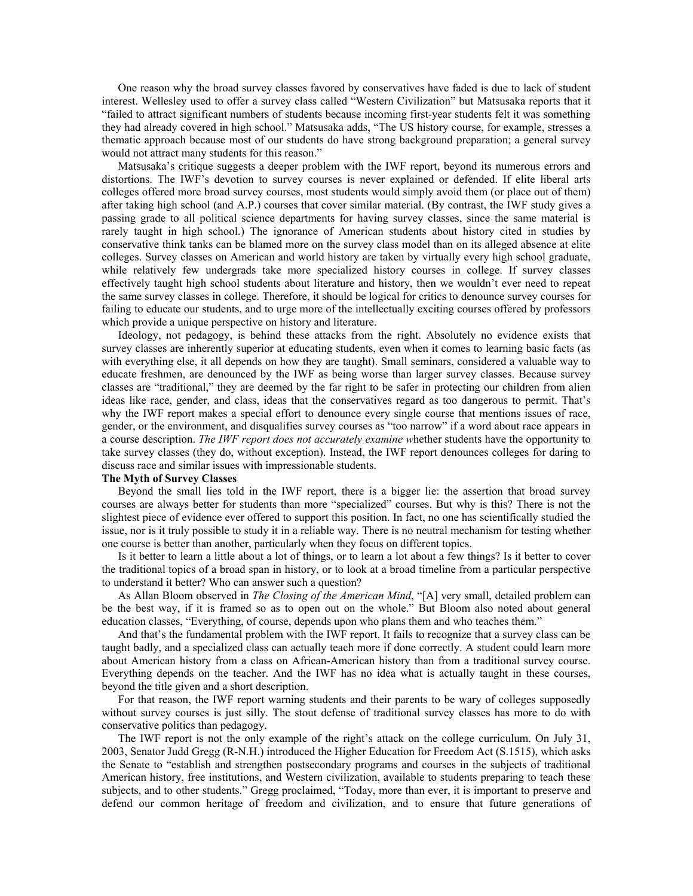One reason why the broad survey classes favored by conservatives have faded is due to lack of student interest. Wellesley used to offer a survey class called "Western Civilization" but Matsusaka reports that it "failed to attract significant numbers of students because incoming first-year students felt it was something they had already covered in high school." Matsusaka adds, "The US history course, for example, stresses a thematic approach because most of our students do have strong background preparation; a general survey would not attract many students for this reason."

Matsusaka's critique suggests a deeper problem with the IWF report, beyond its numerous errors and distortions. The IWF's devotion to survey courses is never explained or defended. If elite liberal arts colleges offered more broad survey courses, most students would simply avoid them (or place out of them) after taking high school (and A.P.) courses that cover similar material. (By contrast, the IWF study gives a passing grade to all political science departments for having survey classes, since the same material is rarely taught in high school.) The ignorance of American students about history cited in studies by conservative think tanks can be blamed more on the survey class model than on its alleged absence at elite colleges. Survey classes on American and world history are taken by virtually every high school graduate, while relatively few undergrads take more specialized history courses in college. If survey classes effectively taught high school students about literature and history, then we wouldn't ever need to repeat the same survey classes in college. Therefore, it should be logical for critics to denounce survey courses for failing to educate our students, and to urge more of the intellectually exciting courses offered by professors which provide a unique perspective on history and literature.

Ideology, not pedagogy, is behind these attacks from the right. Absolutely no evidence exists that survey classes are inherently superior at educating students, even when it comes to learning basic facts (as with everything else, it all depends on how they are taught). Small seminars, considered a valuable way to educate freshmen, are denounced by the IWF as being worse than larger survey classes. Because survey classes are "traditional," they are deemed by the far right to be safer in protecting our children from alien ideas like race, gender, and class, ideas that the conservatives regard as too dangerous to permit. That's why the IWF report makes a special effort to denounce every single course that mentions issues of race, gender, or the environment, and disqualifies survey courses as "too narrow" if a word about race appears in a course description. *The IWF report does not accurately examine w*hether students have the opportunity to take survey classes (they do, without exception). Instead, the IWF report denounces colleges for daring to discuss race and similar issues with impressionable students.

# **The Myth of Survey Classes**

Beyond the small lies told in the IWF report, there is a bigger lie: the assertion that broad survey courses are always better for students than more "specialized" courses. But why is this? There is not the slightest piece of evidence ever offered to support this position. In fact, no one has scientifically studied the issue, nor is it truly possible to study it in a reliable way. There is no neutral mechanism for testing whether one course is better than another, particularly when they focus on different topics.

Is it better to learn a little about a lot of things, or to learn a lot about a few things? Is it better to cover the traditional topics of a broad span in history, or to look at a broad timeline from a particular perspective to understand it better? Who can answer such a question?

As Allan Bloom observed in *The Closing of the American Mind*, "[A] very small, detailed problem can be the best way, if it is framed so as to open out on the whole." But Bloom also noted about general education classes, "Everything, of course, depends upon who plans them and who teaches them."

And that's the fundamental problem with the IWF report. It fails to recognize that a survey class can be taught badly, and a specialized class can actually teach more if done correctly. A student could learn more about American history from a class on African-American history than from a traditional survey course. Everything depends on the teacher. And the IWF has no idea what is actually taught in these courses, beyond the title given and a short description.

For that reason, the IWF report warning students and their parents to be wary of colleges supposedly without survey courses is just silly. The stout defense of traditional survey classes has more to do with conservative politics than pedagogy.

The IWF report is not the only example of the right's attack on the college curriculum. On July 31, 2003, Senator Judd Gregg (R-N.H.) introduced the Higher Education for Freedom Act (S.1515), which asks the Senate to "establish and strengthen postsecondary programs and courses in the subjects of traditional American history, free institutions, and Western civilization, available to students preparing to teach these subjects, and to other students." Gregg proclaimed, "Today, more than ever, it is important to preserve and defend our common heritage of freedom and civilization, and to ensure that future generations of